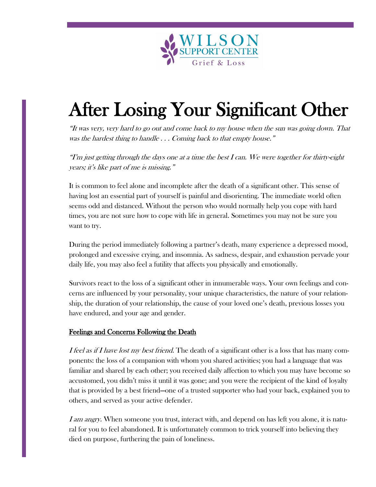

## After Losing Your Significant Other

"It was very, very hard to go out and come back to my house when the sun was going down. That was the hardest thing to handle ... Coming back to that empty house."

"I'm just getting through the days one at a time the best I can. We were together for thirty-eight years; it's like part of me is missing."

It is common to feel alone and incomplete after the death of a significant other. This sense of having lost an essential part of yourself is painful and disorienting. The immediate world often seems odd and distanced. Without the person who would normally help you cope with hard times, you are not sure how to cope with life in general. Sometimes you may not be sure you want to try.

During the period immediately following a partner's death, many experience a depressed mood, prolonged and excessive crying, and insomnia. As sadness, despair, and exhaustion pervade your daily life, you may also feel a futility that affects you physically and emotionally.

Survivors react to the loss of a significant other in innumerable ways. Your own feelings and concerns are influenced by your personality, your unique characteristics, the nature of your relationship, the duration of your relationship, the cause of your loved one's death, previous losses you have endured, and your age and gender.

## Feelings and Concerns Following the Death

I feel as if I have lost my best friend. The death of a significant other is a loss that has many components: the loss of a companion with whom you shared activities; you had a language that was familiar and shared by each other; you received daily affection to which you may have become so accustomed, you didn't miss it until it was gone; and you were the recipient of the kind of loyalty that is provided by a best friend—one of a trusted supporter who had your back, explained you to others, and served as your active defender.

I am angry. When someone you trust, interact with, and depend on has left you alone, it is natural for you to feel abandoned. It is unfortunately common to trick yourself into believing they died on purpose, furthering the pain of loneliness.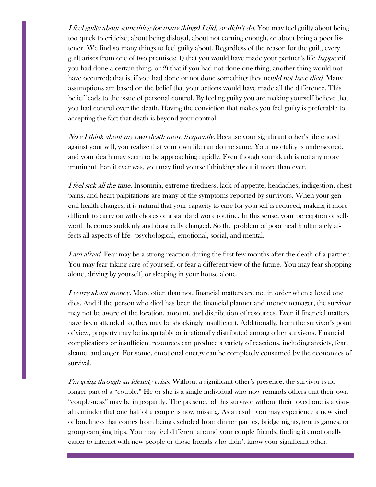I feel guilty about something (or many things) I did, or didn't do. You may feel guilty about being too quick to criticize, about being disloyal, about not earning enough, or about being a poor listener. We find so many things to feel guilty about. Regardless of the reason for the guilt, every guilt arises from one of two premises: 1) that you would have made your partner's life happier if you had done a certain thing, or 2) that if you had not done one thing, another thing would not have occurred; that is, if you had done or not done something they *would not have died*. Many assumptions are based on the belief that your actions would have made all the difference. This belief leads to the issue of personal control. By feeling guilty you are making yourself believe that you had control over the death. Having the conviction that makes you feel guilty is preferable to accepting the fact that death is beyond your control.

Now I think about my own death more frequently. Because your significant other's life ended against your will, you realize that your own life can do the same. Your mortality is underscored, and your death may seem to be approaching rapidly. Even though your death is not any more imminent than it ever was, you may find yourself thinking about it more than ever.

I feel sick all the time. Insomnia, extreme tiredness, lack of appetite, headaches, indigestion, chest pains, and heart palpitations are many of the symptoms reported by survivors. When your general health changes, it is natural that your capacity to care for yourself is reduced, making it more difficult to carry on with chores or a standard work routine. In this sense, your perception of selfworth becomes suddenly and drastically changed. So the problem of poor health ultimately affects all aspects of life—psychological, emotional, social, and mental.

I am afraid. Fear may be a strong reaction during the first few months after the death of a partner. You may fear taking care of yourself, or fear a different view of the future. You may fear shopping alone, driving by yourself, or sleeping in your house alone.

I worry about money. More often than not, financial matters are not in order when a loved one dies. And if the person who died has been the financial planner and money manager, the survivor may not be aware of the location, amount, and distribution of resources. Even if financial matters have been attended to, they may be shockingly insufficient. Additionally, from the survivor's point of view, property may be inequitably or irrationally distributed among other survivors. Financial complications or insufficient resources can produce a variety of reactions, including anxiety, fear, shame, and anger. For some, emotional energy can be completely consumed by the economics of survival.

I'm going through an identity crisis. Without a significant other's presence, the survivor is no longer part of a "couple." He or she is a single individual who now reminds others that their own "couple-ness" may be in jeopardy. The presence of this survivor without their loved one is a visual reminder that one half of a couple is now missing. As a result, you may experience a new kind of loneliness that comes from being excluded from dinner parties, bridge nights, tennis games, or group camping trips. You may feel different around your couple friends, finding it emotionally easier to interact with new people or those friends who didn't know your significant other.